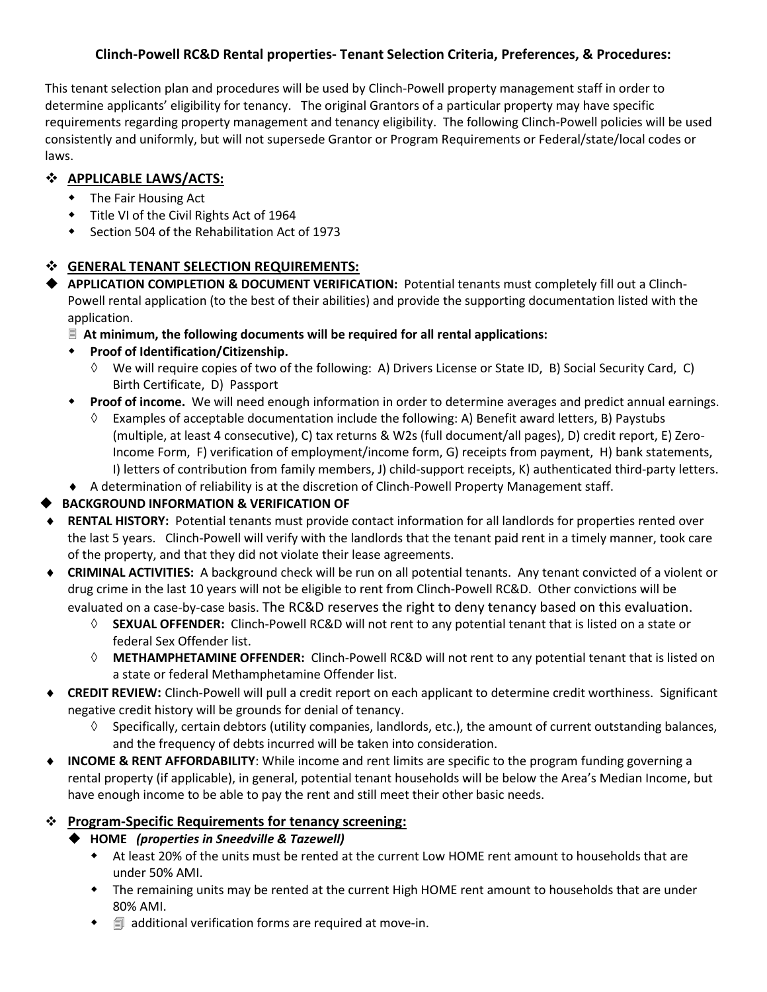#### **Clinch-Powell RC&D Rental properties- Tenant Selection Criteria, Preferences, & Procedures:**

This tenant selection plan and procedures will be used by Clinch-Powell property management staff in order to determine applicants' eligibility for tenancy. The original Grantors of a particular property may have specific requirements regarding property management and tenancy eligibility. The following Clinch-Powell policies will be used consistently and uniformly, but will not supersede Grantor or Program Requirements or Federal/state/local codes or laws.

# **APPLICABLE LAWS/ACTS:**

- The Fair Housing Act
- $\bullet$  Title VI of the Civil Rights Act of 1964
- Section 504 of the Rehabilitation Act of 1973

# **GENERAL TENANT SELECTION REQUIREMENTS:**

- **APPLICATION COMPLETION & DOCUMENT VERIFICATION:** Potential tenants must completely fill out a Clinch-Powell rental application (to the best of their abilities) and provide the supporting documentation listed with the application.
	- **At minimum, the following documents will be required for all rental applications:**

# **Proof of Identification/Citizenship.**

- We will require copies of two of the following: A) Drivers License or State ID, B) Social Security Card, C) Birth Certificate, D) Passport
- **Proof of income.** We will need enough information in order to determine averages and predict annual earnings.
	- Examples of acceptable documentation include the following: A) Benefit award letters, B) Paystubs (multiple, at least 4 consecutive), C) tax returns & W2s (full document/all pages), D) credit report, E) Zero-Income Form, F) verification of employment/income form, G) receipts from payment, H) bank statements, I) letters of contribution from family members, J) child-support receipts, K) authenticated third-party letters.
- A determination of reliability is at the discretion of Clinch-Powell Property Management staff.

# **BACKGROUND INFORMATION & VERIFICATION OF**

- **RENTAL HISTORY:** Potential tenants must provide contact information for all landlords for properties rented over the last 5 years. Clinch-Powell will verify with the landlords that the tenant paid rent in a timely manner, took care of the property, and that they did not violate their lease agreements.
- **CRIMINAL ACTIVITIES:** A background check will be run on all potential tenants. Any tenant convicted of a violent or drug crime in the last 10 years will not be eligible to rent from Clinch-Powell RC&D. Other convictions will be evaluated on a case-by-case basis. The RC&D reserves the right to deny tenancy based on this evaluation.
	- ◊ **SEXUAL OFFENDER:** Clinch-Powell RC&D will not rent to any potential tenant that is listed on a state or federal Sex Offender list.
	- ◊ **METHAMPHETAMINE OFFENDER:** Clinch-Powell RC&D will not rent to any potential tenant that is listed on a state or federal Methamphetamine Offender list.
- **CREDIT REVIEW:** Clinch-Powell will pull a credit report on each applicant to determine credit worthiness. Significant negative credit history will be grounds for denial of tenancy.
	- Specifically, certain debtors (utility companies, landlords, etc.), the amount of current outstanding balances, and the frequency of debts incurred will be taken into consideration.
- **INCOME & RENT AFFORDABILITY**: While income and rent limits are specific to the program funding governing a rental property (if applicable), in general, potential tenant households will be below the Area's Median Income, but have enough income to be able to pay the rent and still meet their other basic needs.

# **Program-Specific Requirements for tenancy screening:**

- **HOME** *(properties in Sneedville & Tazewell)*
	- At least 20% of the units must be rented at the current Low HOME rent amount to households that are under 50% AMI.
	- The remaining units may be rented at the current High HOME rent amount to households that are under 80% AMI.
	- $\bullet$   $\equiv$  additional verification forms are required at move-in.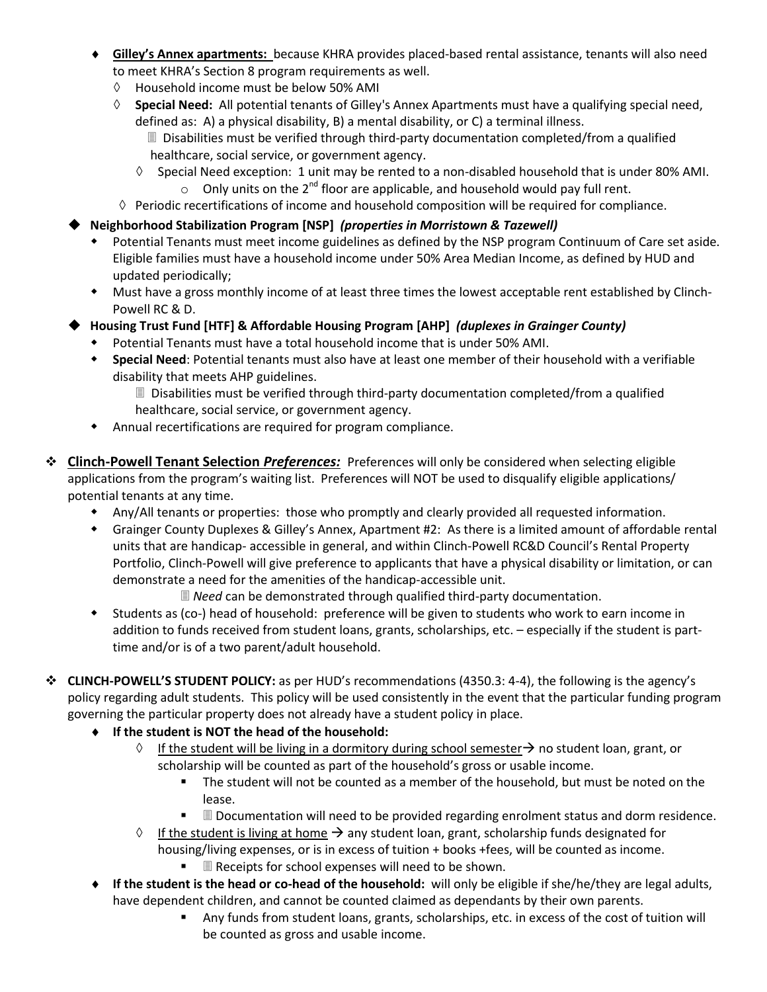- **Gilley's Annex apartments:** because KHRA provides placed-based rental assistance, tenants will also need to meet KHRA's Section 8 program requirements as well.
	- ◊ Household income must be below 50% AMI
	- ◊ **Special Need:** All potential tenants of Gilley's Annex Apartments must have a qualifying special need, defined as: A) a physical disability, B) a mental disability, or C) a terminal illness.
		- Disabilities must be verified through third-party documentation completed/from a qualified healthcare, social service, or government agency.
		- ◊ Special Need exception: 1 unit may be rented to a non-disabled household that is under 80% AMI. o Only units on the  $2^{nd}$  floor are applicable, and household would pay full rent.
	- ◊ Periodic recertifications of income and household composition will be required for compliance.
- **Neighborhood Stabilization Program [NSP]** *(properties in Morristown & Tazewell)*
	- Potential Tenants must meet income guidelines as defined by the NSP program Continuum of Care set aside. Eligible families must have a household income under 50% Area Median Income, as defined by HUD and updated periodically;
	- Must have a gross monthly income of at least three times the lowest acceptable rent established by Clinch-Powell RC & D.
- **Housing Trust Fund [HTF] & Affordable Housing Program [AHP]** *(duplexes in Grainger County)*
	- Potential Tenants must have a total household income that is under 50% AMI.
	- **Special Need**: Potential tenants must also have at least one member of their household with a verifiable disability that meets AHP guidelines.
		- Disabilities must be verified through third-party documentation completed/from a qualified healthcare, social service, or government agency.
	- Annual recertifications are required for program compliance.
- **Clinch-Powell Tenant Selection** *Preferences:* Preferences will only be considered when selecting eligible applications from the program's waiting list. Preferences will NOT be used to disqualify eligible applications/ potential tenants at any time.
	- Any/All tenants or properties: those who promptly and clearly provided all requested information.
	- Grainger County Duplexes & Gilley's Annex, Apartment #2: As there is a limited amount of affordable rental units that are handicap- accessible in general, and within Clinch-Powell RC&D Council's Rental Property Portfolio, Clinch-Powell will give preference to applicants that have a physical disability or limitation, or can demonstrate a need for the amenities of the handicap-accessible unit.

*D* Need can be demonstrated through qualified third-party documentation.

- Students as (co-) head of household: preference will be given to students who work to earn income in addition to funds received from student loans, grants, scholarships, etc. – especially if the student is parttime and/or is of a two parent/adult household.
- **CLINCH-POWELL'S STUDENT POLICY:** as per HUD's recommendations (4350.3: 4-4), the following is the agency's policy regarding adult students. This policy will be used consistently in the event that the particular funding program governing the particular property does not already have a student policy in place.
	- **If the student is NOT the head of the household:** 
		- $\Diamond$  If the student will be living in a dormitory during school semester  $\rightarrow$  no student loan, grant, or scholarship will be counted as part of the household's gross or usable income.
			- The student will not be counted as a member of the household, but must be noted on the lease.
			- Documentation will need to be provided regarding enrolment status and dorm residence.
		- $\Diamond$  If the student is living at home  $\rightarrow$  any student loan, grant, scholarship funds designated for housing/living expenses, or is in excess of tuition + books +fees, will be counted as income.
			- **Receipts for school expenses will need to be shown.**
	- **If the student is the head or co-head of the household:** will only be eligible if she/he/they are legal adults, have dependent children, and cannot be counted claimed as dependants by their own parents.
		- Any funds from student loans, grants, scholarships, etc. in excess of the cost of tuition will be counted as gross and usable income.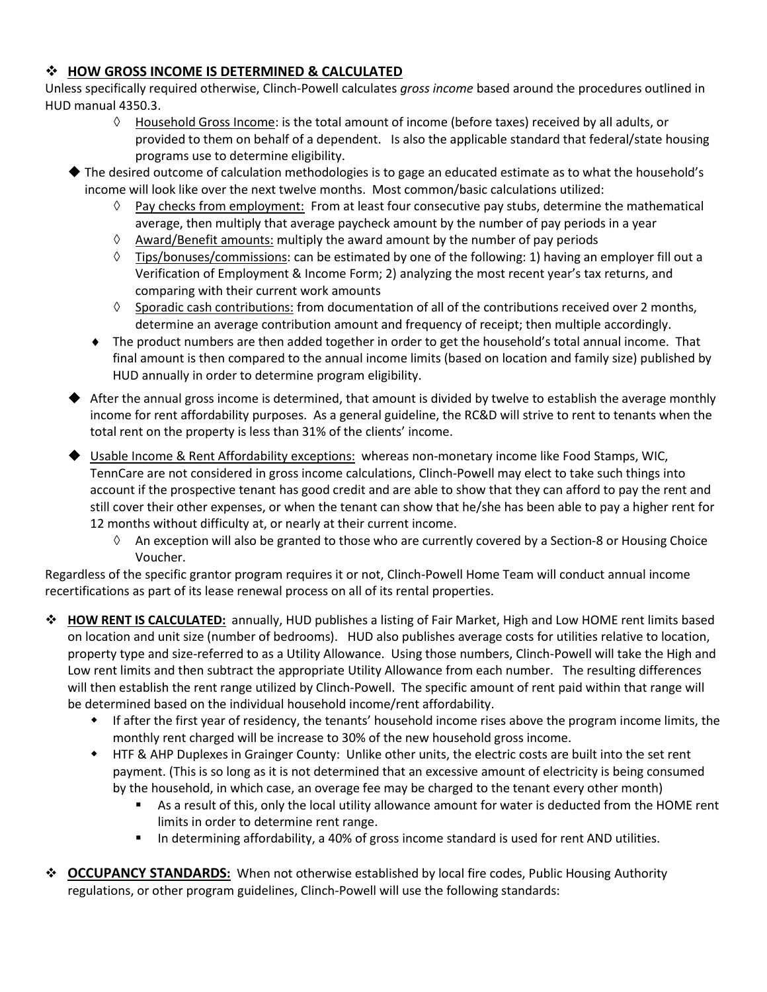#### **HOW GROSS INCOME IS DETERMINED & CALCULATED**

Unless specifically required otherwise, Clinch-Powell calculates *gross income* based around the procedures outlined in HUD manual 4350.3.

- $\Diamond$  Household Gross Income: is the total amount of income (before taxes) received by all adults, or provided to them on behalf of a dependent. Is also the applicable standard that federal/state housing programs use to determine eligibility.
- The desired outcome of calculation methodologies is to gage an educated estimate as to what the household's income will look like over the next twelve months. Most common/basic calculations utilized:
	- ◊ Pay checks from employment: From at least four consecutive pay stubs, determine the mathematical average, then multiply that average paycheck amount by the number of pay periods in a year
	- $\Diamond$  Award/Benefit amounts: multiply the award amount by the number of pay periods
	- $\Diamond$  Tips/bonuses/commissions: can be estimated by one of the following: 1) having an employer fill out a Verification of Employment & Income Form; 2) analyzing the most recent year's tax returns, and comparing with their current work amounts
	- $\Diamond$  Sporadic cash contributions: from documentation of all of the contributions received over 2 months, determine an average contribution amount and frequency of receipt; then multiple accordingly.
	- The product numbers are then added together in order to get the household's total annual income. That final amount is then compared to the annual income limits (based on location and family size) published by HUD annually in order to determine program eligibility.
- ◆ After the annual gross income is determined, that amount is divided by twelve to establish the average monthly income for rent affordability purposes. As a general guideline, the RC&D will strive to rent to tenants when the total rent on the property is less than 31% of the clients' income.
- ◆ Usable Income & Rent Affordability exceptions: whereas non-monetary income like Food Stamps, WIC, TennCare are not considered in gross income calculations, Clinch-Powell may elect to take such things into account if the prospective tenant has good credit and are able to show that they can afford to pay the rent and still cover their other expenses, or when the tenant can show that he/she has been able to pay a higher rent for 12 months without difficulty at, or nearly at their current income.
	- $\Diamond$  An exception will also be granted to those who are currently covered by a Section-8 or Housing Choice Voucher.

Regardless of the specific grantor program requires it or not, Clinch-Powell Home Team will conduct annual income recertifications as part of its lease renewal process on all of its rental properties.

- **HOW RENT IS CALCULATED:** annually, HUD publishes a listing of Fair Market, High and Low HOME rent limits based on location and unit size (number of bedrooms). HUD also publishes average costs for utilities relative to location, property type and size-referred to as a Utility Allowance. Using those numbers, Clinch-Powell will take the High and Low rent limits and then subtract the appropriate Utility Allowance from each number. The resulting differences will then establish the rent range utilized by Clinch-Powell. The specific amount of rent paid within that range will be determined based on the individual household income/rent affordability.
	- If after the first year of residency, the tenants' household income rises above the program income limits, the monthly rent charged will be increase to 30% of the new household gross income.
	- HTF & AHP Duplexes in Grainger County: Unlike other units, the electric costs are built into the set rent payment. (This is so long as it is not determined that an excessive amount of electricity is being consumed by the household, in which case, an overage fee may be charged to the tenant every other month)
		- As a result of this, only the local utility allowance amount for water is deducted from the HOME rent limits in order to determine rent range.
		- **IF** In determining affordability, a 40% of gross income standard is used for rent AND utilities.
- **OCCUPANCY STANDARDS:** When not otherwise established by local fire codes, Public Housing Authority regulations, or other program guidelines, Clinch-Powell will use the following standards: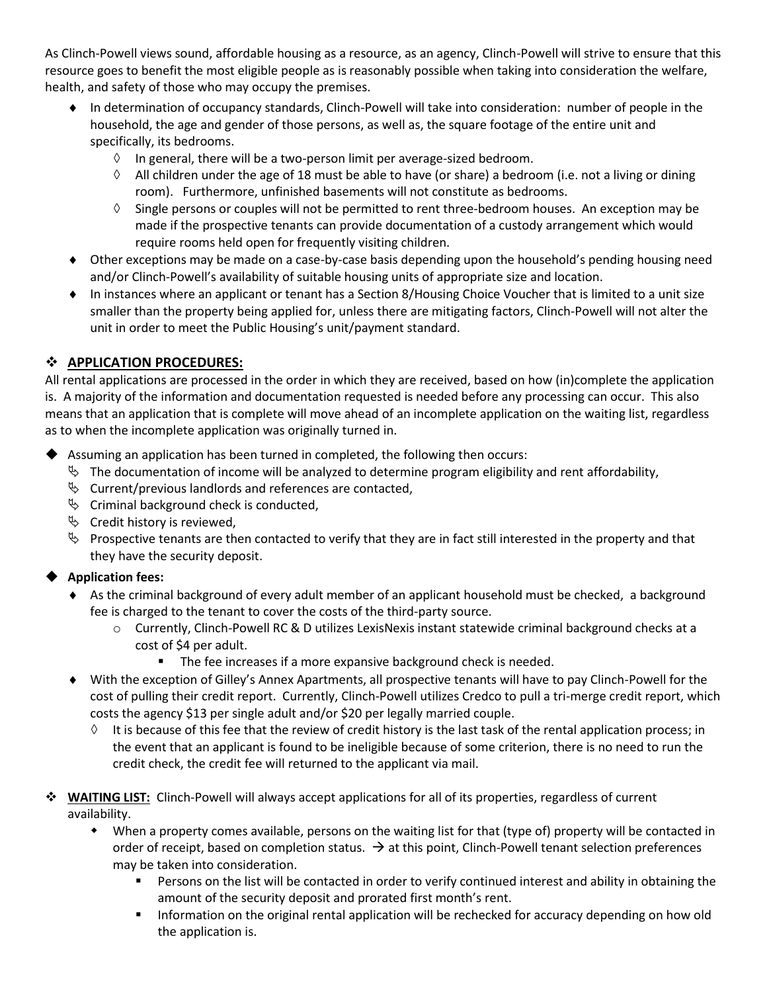As Clinch-Powell views sound, affordable housing as a resource, as an agency, Clinch-Powell will strive to ensure that this resource goes to benefit the most eligible people as is reasonably possible when taking into consideration the welfare, health, and safety of those who may occupy the premises.

- In determination of occupancy standards, Clinch-Powell will take into consideration: number of people in the household, the age and gender of those persons, as well as, the square footage of the entire unit and specifically, its bedrooms.
	- ◊ In general, there will be a two-person limit per average-sized bedroom.
	- $\Diamond$  All children under the age of 18 must be able to have (or share) a bedroom (i.e. not a living or dining room). Furthermore, unfinished basements will not constitute as bedrooms.
	- $\Diamond$  Single persons or couples will not be permitted to rent three-bedroom houses. An exception may be made if the prospective tenants can provide documentation of a custody arrangement which would require rooms held open for frequently visiting children.
- Other exceptions may be made on a case-by-case basis depending upon the household's pending housing need and/or Clinch-Powell's availability of suitable housing units of appropriate size and location.
- In instances where an applicant or tenant has a Section 8/Housing Choice Voucher that is limited to a unit size smaller than the property being applied for, unless there are mitigating factors, Clinch-Powell will not alter the unit in order to meet the Public Housing's unit/payment standard.

#### **APPLICATION PROCEDURES:**

All rental applications are processed in the order in which they are received, based on how (in)complete the application is. A majority of the information and documentation requested is needed before any processing can occur. This also means that an application that is complete will move ahead of an incomplete application on the waiting list, regardless as to when the incomplete application was originally turned in.

- Assuming an application has been turned in completed, the following then occurs:
	- $\%$  The documentation of income will be analyzed to determine program eligibility and rent affordability,
	- $\%$  Current/previous landlords and references are contacted,
	- $\mathfrak{S}$  Criminal background check is conducted,
	- $\mathfrak{S}$  Credit history is reviewed,
	- $\%$  Prospective tenants are then contacted to verify that they are in fact still interested in the property and that they have the security deposit.

#### **Application fees:**

- As the criminal background of every adult member of an applicant household must be checked, a background fee is charged to the tenant to cover the costs of the third-party source.
	- o Currently, Clinch-Powell RC & D utilizes LexisNexis instant statewide criminal background checks at a cost of \$4 per adult.
		- The fee increases if a more expansive background check is needed.
- With the exception of Gilley's Annex Apartments, all prospective tenants will have to pay Clinch-Powell for the cost of pulling their credit report. Currently, Clinch-Powell utilizes Credco to pull a tri-merge credit report, which costs the agency \$13 per single adult and/or \$20 per legally married couple.
	- It is because of this fee that the review of credit history is the last task of the rental application process; in the event that an applicant is found to be ineligible because of some criterion, there is no need to run the credit check, the credit fee will returned to the applicant via mail.
- **WAITING LIST:** Clinch-Powell will always accept applications for all of its properties, regardless of current availability.
	- When a property comes available, persons on the waiting list for that (type of) property will be contacted in order of receipt, based on completion status.  $\rightarrow$  at this point, Clinch-Powell tenant selection preferences may be taken into consideration.
		- **Persons on the list will be contacted in order to verify continued interest and ability in obtaining the** amount of the security deposit and prorated first month's rent.
		- **Information on the original rental application will be rechecked for accuracy depending on how old** the application is.